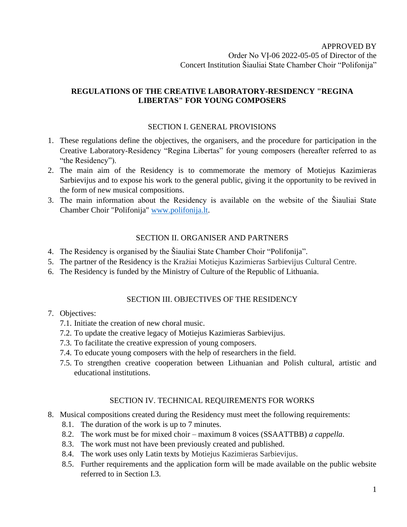# **REGULATIONS OF THE CREATIVE LABORATORY-RESIDENCY "REGINA LIBERTAS" FOR YOUNG COMPOSERS**

## SECTION I. GENERAL PROVISIONS

- 1. These regulations define the objectives, the organisers, and the procedure for participation in the Creative Laboratory-Residency "Regina Libertas" for young composers (hereafter referred to as "the Residency").
- 2. The main aim of the Residency is to commemorate the memory of Motiejus Kazimieras Sarbievijus and to expose his work to the general public, giving it the opportunity to be revived in the form of new musical compositions.
- 3. The main information about the Residency is available on the website of the Šiauliai State Chamber Choir "Polifonija" [www.polifonija.lt.](http://www.polifonija.lt/)

### SECTION II. ORGANISER AND PARTNERS

- 4. The Residency is organised by the Šiauliai State Chamber Choir "Polifonija".
- 5. The partner of the Residency is the Kražiai Motiejus Kazimieras Sarbievijus Cultural Centre.
- 6. The Residency is funded by the Ministry of Culture of the Republic of Lithuania.

### SECTION III. OBJECTIVES OF THE RESIDENCY

### 7. Objectives:

- 7.1. Initiate the creation of new choral music.
- 7.2. To update the creative legacy of Motiejus Kazimieras Sarbievijus.
- 7.3. To facilitate the creative expression of young composers.
- 7.4. To educate young composers with the help of researchers in the field.
- 7.5. To strengthen creative cooperation between Lithuanian and Polish cultural, artistic and educational institutions.

### SECTION IV. TECHNICAL REQUIREMENTS FOR WORKS

- 8. Musical compositions created during the Residency must meet the following requirements:
	- 8.1. The duration of the work is up to 7 minutes.
	- 8.2. The work must be for mixed choir maximum 8 voices (SSAATTBB) *a cappella*.
	- 8.3. The work must not have been previously created and published.
	- 8.4. The work uses only Latin texts by Motiejus Kazimieras Sarbievijus.
	- 8.5. Further requirements and the application form will be made available on the public website referred to in Section I.3.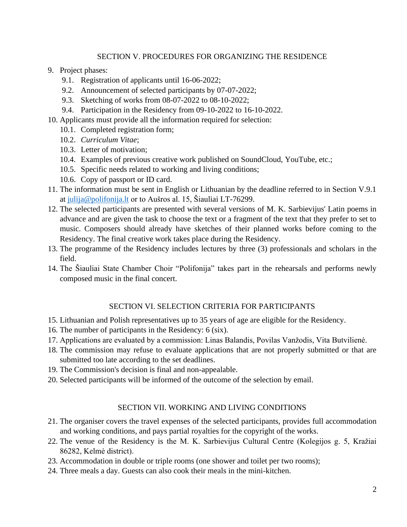## SECTION V. PROCEDURES FOR ORGANIZING THE RESIDENCE

- 9. Project phases:
	- 9.1. Registration of applicants until 16-06-2022;
	- 9.2. Announcement of selected participants by 07-07-2022;
	- 9.3. Sketching of works from 08-07-2022 to 08-10-2022;
	- 9.4. Participation in the Residency from 09-10-2022 to 16-10-2022.
- 10. Applicants must provide all the information required for selection:
	- 10.1. Completed registration form;
	- 10.2. *Curriculum Vitae*;
	- 10.3. Letter of motivation;
	- 10.4. Examples of previous creative work published on SoundCloud, YouTube, etc.;
	- 10.5. Specific needs related to working and living conditions;
	- 10.6. Copy of passport or ID card.
- 11. The information must be sent in English or Lithuanian by the deadline referred to in Section V.9.1 at [julija@polifonija.lt](mailto:julija@polifonija.lt) or to Aušros al. 15, Šiauliai LT-76299.
- 12. The selected participants are presented with several versions of M. K. Sarbievijus' Latin poems in advance and are given the task to choose the text or a fragment of the text that they prefer to set to music. Composers should already have sketches of their planned works before coming to the Residency. The final creative work takes place during the Residency.
- 13. The programme of the Residency includes lectures by three (3) professionals and scholars in the field.
- 14. The Šiauliai State Chamber Choir "Polifonija" takes part in the rehearsals and performs newly composed music in the final concert.

### SECTION VI. SELECTION CRITERIA FOR PARTICIPANTS

- 15. Lithuanian and Polish representatives up to 35 years of age are eligible for the Residency.
- 16. The number of participants in the Residency: 6 (six).
- 17. Applications are evaluated by a commission: Linas Balandis, Povilas Vanžodis, Vita Butvilienė.
- 18. The commission may refuse to evaluate applications that are not properly submitted or that are submitted too late according to the set deadlines.
- 19. The Commission's decision is final and non-appealable.
- 20. Selected participants will be informed of the outcome of the selection by email.

# SECTION VII. WORKING AND LIVING CONDITIONS

- 21. The organiser covers the travel expenses of the selected participants, provides full accommodation and working conditions, and pays partial royalties for the copyright of the works.
- 22. The venue of the Residency is the M. K. Sarbievijus Cultural Centre (Kolegijos g. 5, Kražiai 86282, Kelmė district).
- 23. Accommodation in double or triple rooms (one shower and toilet per two rooms);
- 24. Three meals a day. Guests can also cook their meals in the mini-kitchen.